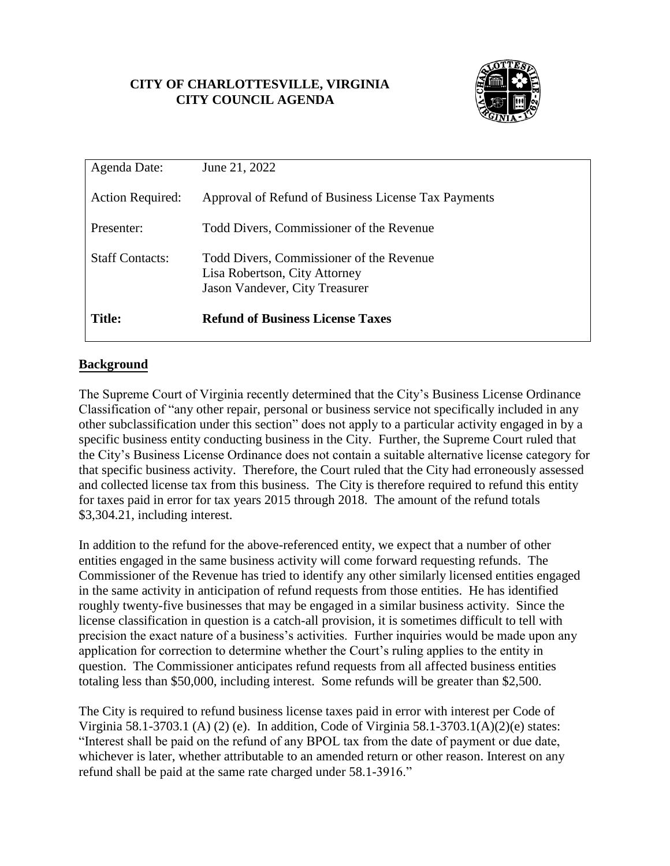# **CITY OF CHARLOTTESVILLE, VIRGINIA CITY COUNCIL AGENDA**



| Agenda Date:            | June 21, 2022                                                                                               |
|-------------------------|-------------------------------------------------------------------------------------------------------------|
| <b>Action Required:</b> | Approval of Refund of Business License Tax Payments                                                         |
| Presenter:              | Todd Divers, Commissioner of the Revenue                                                                    |
| <b>Staff Contacts:</b>  | Todd Divers, Commissioner of the Revenue<br>Lisa Robertson, City Attorney<br>Jason Vandever, City Treasurer |
| Title:                  | <b>Refund of Business License Taxes</b>                                                                     |

# **Background**

The Supreme Court of Virginia recently determined that the City's Business License Ordinance Classification of "any other repair, personal or business service not specifically included in any other subclassification under this section" does not apply to a particular activity engaged in by a specific business entity conducting business in the City. Further, the Supreme Court ruled that the City's Business License Ordinance does not contain a suitable alternative license category for that specific business activity. Therefore, the Court ruled that the City had erroneously assessed and collected license tax from this business. The City is therefore required to refund this entity for taxes paid in error for tax years 2015 through 2018. The amount of the refund totals \$3,304.21, including interest.

In addition to the refund for the above-referenced entity, we expect that a number of other entities engaged in the same business activity will come forward requesting refunds. The Commissioner of the Revenue has tried to identify any other similarly licensed entities engaged in the same activity in anticipation of refund requests from those entities. He has identified roughly twenty-five businesses that may be engaged in a similar business activity. Since the license classification in question is a catch-all provision, it is sometimes difficult to tell with precision the exact nature of a business's activities. Further inquiries would be made upon any application for correction to determine whether the Court's ruling applies to the entity in question. The Commissioner anticipates refund requests from all affected business entities totaling less than \$50,000, including interest. Some refunds will be greater than \$2,500.

The City is required to refund business license taxes paid in error with interest per Code of Virginia 58.1-3703.1 (A) (2) (e). In addition, Code of Virginia 58.1-3703.1(A)(2)(e) states: "Interest shall be paid on the refund of any BPOL tax from the date of payment or due date, whichever is later, whether attributable to an amended return or other reason. Interest on any refund shall be paid at the same rate charged under 58.1-3916."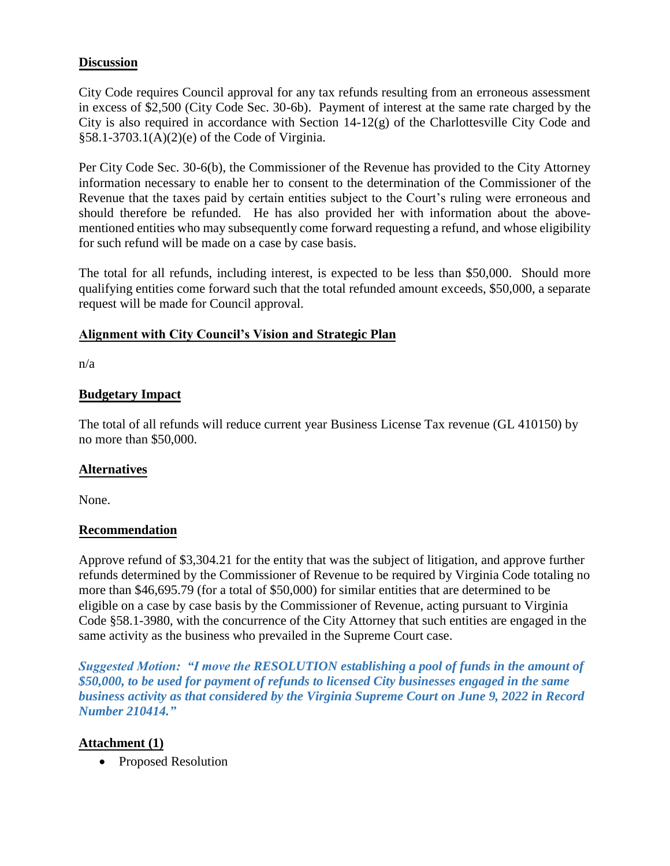#### **Discussion**

City Code requires Council approval for any tax refunds resulting from an erroneous assessment in excess of \$2,500 (City Code Sec. 30-6b). Payment of interest at the same rate charged by the City is also required in accordance with Section 14-12(g) of the Charlottesville City Code and §58.1-3703.1(A)(2)(e) of the Code of Virginia.

Per City Code Sec. 30-6(b), the Commissioner of the Revenue has provided to the City Attorney information necessary to enable her to consent to the determination of the Commissioner of the Revenue that the taxes paid by certain entities subject to the Court's ruling were erroneous and should therefore be refunded. He has also provided her with information about the abovementioned entities who may subsequently come forward requesting a refund, and whose eligibility for such refund will be made on a case by case basis.

The total for all refunds, including interest, is expected to be less than \$50,000. Should more qualifying entities come forward such that the total refunded amount exceeds, \$50,000, a separate request will be made for Council approval.

#### **Alignment with City Council's Vision and Strategic Plan**

n/a

### **Budgetary Impact**

The total of all refunds will reduce current year Business License Tax revenue (GL 410150) by no more than \$50,000.

### **Alternatives**

None.

#### **Recommendation**

Approve refund of \$3,304.21 for the entity that was the subject of litigation, and approve further refunds determined by the Commissioner of Revenue to be required by Virginia Code totaling no more than \$46,695.79 (for a total of \$50,000) for similar entities that are determined to be eligible on a case by case basis by the Commissioner of Revenue, acting pursuant to Virginia Code §58.1-3980, with the concurrence of the City Attorney that such entities are engaged in the same activity as the business who prevailed in the Supreme Court case.

*Suggested Motion: "I move the RESOLUTION establishing a pool of funds in the amount of \$50,000, to be used for payment of refunds to licensed City businesses engaged in the same business activity as that considered by the Virginia Supreme Court on June 9, 2022 in Record Number 210414."*

### **Attachment (1)**

• Proposed Resolution